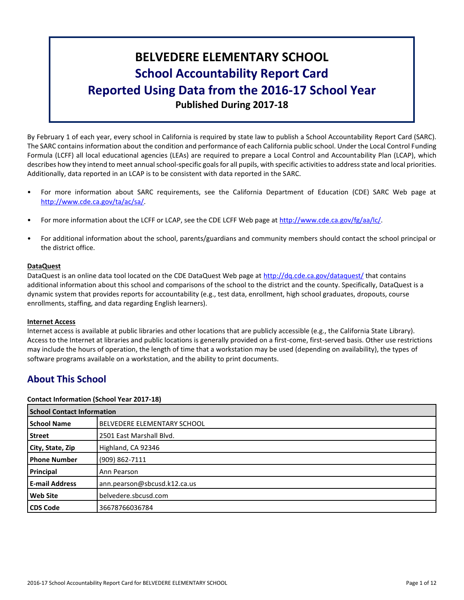# **BELVEDERE ELEMENTARY SCHOOL School Accountability Report Card Reported Using Data from the 2016-17 School Year Published During 2017-18**

By February 1 of each year, every school in California is required by state law to publish a School Accountability Report Card (SARC). The SARC contains information about the condition and performance of each California public school. Under the Local Control Funding Formula (LCFF) all local educational agencies (LEAs) are required to prepare a Local Control and Accountability Plan (LCAP), which describes how they intend to meet annual school-specific goals for all pupils, with specific activities to address state and local priorities. Additionally, data reported in an LCAP is to be consistent with data reported in the SARC.

- For more information about SARC requirements, see the California Department of Education (CDE) SARC Web page at [http://www.cde.ca.gov/ta/ac/sa/.](http://www.cde.ca.gov/ta/ac/sa/)
- For more information about the LCFF or LCAP, see the CDE LCFF Web page at [http://www.cde.ca.gov/fg/aa/lc/.](http://www.cde.ca.gov/fg/aa/lc/)
- For additional information about the school, parents/guardians and community members should contact the school principal or the district office.

#### **DataQuest**

DataQuest is an online data tool located on the CDE DataQuest Web page at<http://dq.cde.ca.gov/dataquest/> that contains additional information about this school and comparisons of the school to the district and the county. Specifically, DataQuest is a dynamic system that provides reports for accountability (e.g., test data, enrollment, high school graduates, dropouts, course enrollments, staffing, and data regarding English learners).

#### **Internet Access**

Internet access is available at public libraries and other locations that are publicly accessible (e.g., the California State Library). Access to the Internet at libraries and public locations is generally provided on a first-come, first-served basis. Other use restrictions may include the hours of operation, the length of time that a workstation may be used (depending on availability), the types of software programs available on a workstation, and the ability to print documents.

# **About This School**

#### **Contact Information (School Year 2017-18)**

| <b>School Contact Information</b> |                                    |  |  |
|-----------------------------------|------------------------------------|--|--|
| <b>School Name</b>                | <b>BELVEDERE ELEMENTARY SCHOOL</b> |  |  |
| Street                            | 2501 East Marshall Blvd.           |  |  |
| City, State, Zip                  | Highland, CA 92346                 |  |  |
| <b>Phone Number</b>               | (909) 862-7111                     |  |  |
| Principal                         | Ann Pearson                        |  |  |
| <b>E-mail Address</b>             | ann.pearson@sbcusd.k12.ca.us       |  |  |
| <b>Web Site</b>                   | belvedere.sbcusd.com               |  |  |
| <b>CDS Code</b>                   | 36678766036784                     |  |  |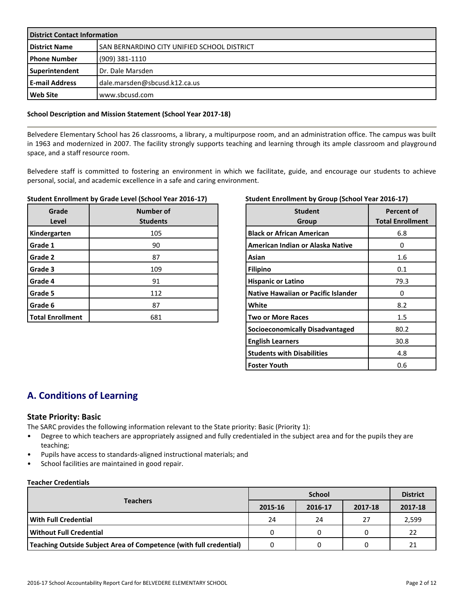| <b>District Contact Information</b> |                                                    |  |  |
|-------------------------------------|----------------------------------------------------|--|--|
| <b>District Name</b>                | <b>SAN BERNARDINO CITY UNIFIED SCHOOL DISTRICT</b> |  |  |
| l Phone Number                      | (909) 381-1110                                     |  |  |
| Superintendent                      | Dr. Dale Marsden                                   |  |  |
| <b>E-mail Address</b>               | dale.marsden@sbcusd.k12.ca.us                      |  |  |
| <b>Web Site</b>                     | www.sbcusd.com                                     |  |  |

#### **School Description and Mission Statement (School Year 2017-18)**

Belvedere Elementary School has 26 classrooms, a library, a multipurpose room, and an administration office. The campus was built in 1963 and modernized in 2007. The facility strongly supports teaching and learning through its ample classroom and playground space, and a staff resource room.

Belvedere staff is committed to fostering an environment in which we facilitate, guide, and encourage our students to achieve personal, social, and academic excellence in a safe and caring environment.

#### **Student Enrollment by Grade Level (School Year 2016-17)**

| Grade<br>Level          | Number of<br><b>Students</b> |
|-------------------------|------------------------------|
| Kindergarten            | 105                          |
| Grade 1                 | 90                           |
| Grade 2                 | 87                           |
| Grade 3                 | 109                          |
| Grade 4                 | 91                           |
| Grade 5                 | 112                          |
| Grade 6                 | 87                           |
| <b>Total Enrollment</b> | 681                          |

#### **Student Enrollment by Group (School Year 2016-17)**

| <b>Student</b><br>Group             | Percent of<br><b>Total Enrollment</b> |
|-------------------------------------|---------------------------------------|
| <b>Black or African American</b>    | 6.8                                   |
| American Indian or Alaska Native    | O                                     |
| Asian                               | 1.6                                   |
| <b>Filipino</b>                     | 0.1                                   |
| <b>Hispanic or Latino</b>           | 79.3                                  |
| Native Hawaiian or Pacific Islander | O                                     |
| White                               | 8.2                                   |
| <b>Two or More Races</b>            | $1.5\,$                               |
| Socioeconomically Disadvantaged     | 80.2                                  |
| <b>English Learners</b>             | 30.8                                  |
| <b>Students with Disabilities</b>   | 4.8                                   |
| <b>Foster Youth</b>                 | 0.6                                   |

# **A. Conditions of Learning**

#### **State Priority: Basic**

The SARC provides the following information relevant to the State priority: Basic (Priority 1):

- Degree to which teachers are appropriately assigned and fully credentialed in the subject area and for the pupils they are teaching;
- Pupils have access to standards-aligned instructional materials; and
- School facilities are maintained in good repair.

#### **Teacher Credentials**

|                                                                    |         | <b>District</b> |         |         |
|--------------------------------------------------------------------|---------|-----------------|---------|---------|
| <b>Teachers</b>                                                    | 2015-16 | 2016-17         | 2017-18 | 2017-18 |
| With Full Credential                                               | 24      | 24              | 27      | 2,599   |
| Without Full Credential                                            |         |                 |         | 22      |
| Teaching Outside Subject Area of Competence (with full credential) |         |                 |         | 21      |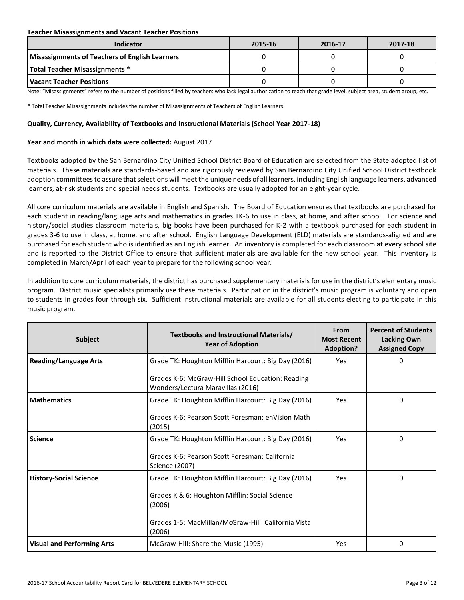#### **Teacher Misassignments and Vacant Teacher Positions**

| Indicator                                             | 2015-16 | 2016-17 | 2017-18 |
|-------------------------------------------------------|---------|---------|---------|
| <b>Misassignments of Teachers of English Learners</b> |         |         |         |
| <b>Total Teacher Misassignments *</b>                 |         |         |         |
| l Vacant Teacher Positions                            |         |         |         |

Note: "Misassignments" refers to the number of positions filled by teachers who lack legal authorization to teach that grade level, subject area, student group, etc.

\* Total Teacher Misassignments includes the number of Misassignments of Teachers of English Learners.

#### **Quality, Currency, Availability of Textbooks and Instructional Materials (School Year 2017-18)**

#### **Year and month in which data were collected:** August 2017

Textbooks adopted by the San Bernardino City Unified School District Board of Education are selected from the State adopted list of materials. These materials are standards-based and are rigorously reviewed by San Bernardino City Unified School District textbook adoption committees to assure that selections will meet the unique needs of all learners, including English language learners, advanced learners, at-risk students and special needs students. Textbooks are usually adopted for an eight-year cycle.

All core curriculum materials are available in English and Spanish. The Board of Education ensures that textbooks are purchased for each student in reading/language arts and mathematics in grades TK-6 to use in class, at home, and after school. For science and history/social studies classroom materials, big books have been purchased for K-2 with a textbook purchased for each student in grades 3-6 to use in class, at home, and after school. English Language Development (ELD) materials are standards-aligned and are purchased for each student who is identified as an English learner. An inventory is completed for each classroom at every school site and is reported to the District Office to ensure that sufficient materials are available for the new school year. This inventory is completed in March/April of each year to prepare for the following school year.

In addition to core curriculum materials, the district has purchased supplementary materials for use in the district's elementary music program. District music specialists primarily use these materials. Participation in the district's music program is voluntary and open to students in grades four through six. Sufficient instructional materials are available for all students electing to participate in this music program.

| <b>Subject</b>                    | Textbooks and Instructional Materials/<br><b>Year of Adoption</b>                      | From<br><b>Most Recent</b><br><b>Adoption?</b> | <b>Percent of Students</b><br><b>Lacking Own</b><br><b>Assigned Copy</b> |
|-----------------------------------|----------------------------------------------------------------------------------------|------------------------------------------------|--------------------------------------------------------------------------|
| <b>Reading/Language Arts</b>      | Grade TK: Houghton Mifflin Harcourt: Big Day (2016)                                    | Yes                                            | 0                                                                        |
|                                   | Grades K-6: McGraw-Hill School Education: Reading<br>Wonders/Lectura Maravillas (2016) |                                                |                                                                          |
| <b>Mathematics</b>                | Grade TK: Houghton Mifflin Harcourt: Big Day (2016)                                    | Yes                                            | $\Omega$                                                                 |
|                                   | Grades K-6: Pearson Scott Foresman: enVision Math<br>(2015)                            |                                                |                                                                          |
| <b>Science</b>                    | Grade TK: Houghton Mifflin Harcourt: Big Day (2016)                                    | <b>Yes</b>                                     | 0                                                                        |
|                                   | Grades K-6: Pearson Scott Foresman: California<br>Science (2007)                       |                                                |                                                                          |
| <b>History-Social Science</b>     | Grade TK: Houghton Mifflin Harcourt: Big Day (2016)                                    | Yes                                            | $\Omega$                                                                 |
|                                   | Grades K & 6: Houghton Mifflin: Social Science<br>(2006)                               |                                                |                                                                          |
|                                   | Grades 1-5: MacMillan/McGraw-Hill: California Vista<br>(2006)                          |                                                |                                                                          |
| <b>Visual and Performing Arts</b> | McGraw-Hill: Share the Music (1995)                                                    | Yes                                            | $\Omega$                                                                 |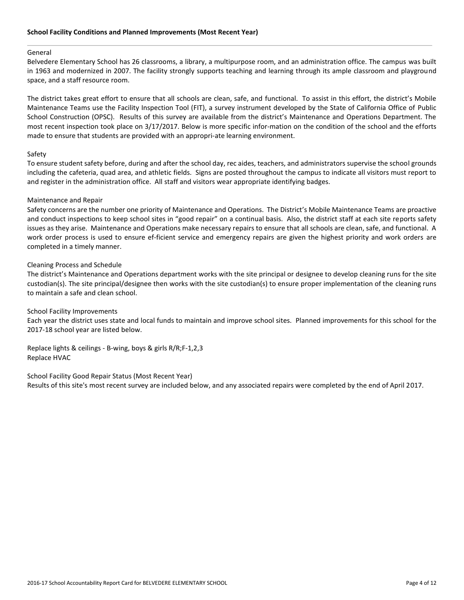#### General

Belvedere Elementary School has 26 classrooms, a library, a multipurpose room, and an administration office. The campus was built in 1963 and modernized in 2007. The facility strongly supports teaching and learning through its ample classroom and playground space, and a staff resource room.

The district takes great effort to ensure that all schools are clean, safe, and functional. To assist in this effort, the district's Mobile Maintenance Teams use the Facility Inspection Tool (FIT), a survey instrument developed by the State of California Office of Public School Construction (OPSC). Results of this survey are available from the district's Maintenance and Operations Department. The most recent inspection took place on 3/17/2017. Below is more specific infor-mation on the condition of the school and the efforts made to ensure that students are provided with an appropri-ate learning environment.

#### Safety

To ensure student safety before, during and after the school day, rec aides, teachers, and administrators supervise the school grounds including the cafeteria, quad area, and athletic fields. Signs are posted throughout the campus to indicate all visitors must report to and register in the administration office. All staff and visitors wear appropriate identifying badges.

#### Maintenance and Repair

Safety concerns are the number one priority of Maintenance and Operations. The District's Mobile Maintenance Teams are proactive and conduct inspections to keep school sites in "good repair" on a continual basis. Also, the district staff at each site reports safety issues as they arise. Maintenance and Operations make necessary repairs to ensure that all schools are clean, safe, and functional. A work order process is used to ensure ef-ficient service and emergency repairs are given the highest priority and work orders are completed in a timely manner.

#### Cleaning Process and Schedule

The district's Maintenance and Operations department works with the site principal or designee to develop cleaning runs for the site custodian(s). The site principal/designee then works with the site custodian(s) to ensure proper implementation of the cleaning runs to maintain a safe and clean school.

#### School Facility Improvements

Each year the district uses state and local funds to maintain and improve school sites. Planned improvements for this school for the 2017-18 school year are listed below.

Replace lights & ceilings - B-wing, boys & girls R/R;F-1,2,3 Replace HVAC

School Facility Good Repair Status (Most Recent Year) Results of this site's most recent survey are included below, and any associated repairs were completed by the end of April 2017.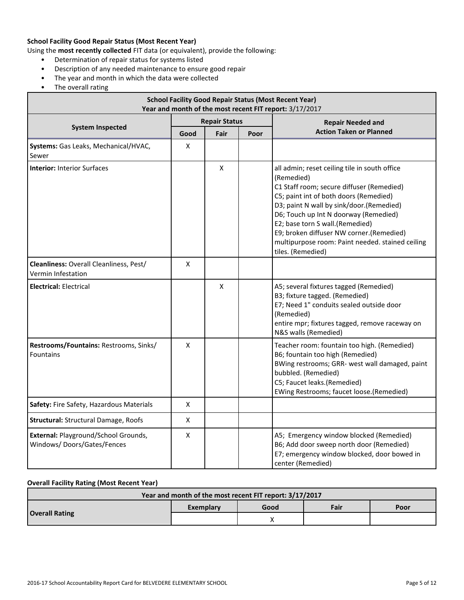### **School Facility Good Repair Status (Most Recent Year)**

Using the **most recently collected** FIT data (or equivalent), provide the following:

- Determination of repair status for systems listed
- Description of any needed maintenance to ensure good repair
- The year and month in which the data were collected
- The overall rating

| <b>School Facility Good Repair Status (Most Recent Year)</b><br>Year and month of the most recent FIT report: 3/17/2017 |                      |      |      |                                                                                                                                                                                                                                                                                                                                                                                                 |  |  |
|-------------------------------------------------------------------------------------------------------------------------|----------------------|------|------|-------------------------------------------------------------------------------------------------------------------------------------------------------------------------------------------------------------------------------------------------------------------------------------------------------------------------------------------------------------------------------------------------|--|--|
|                                                                                                                         | <b>Repair Status</b> |      |      | <b>Repair Needed and</b>                                                                                                                                                                                                                                                                                                                                                                        |  |  |
| <b>System Inspected</b>                                                                                                 | Good                 | Fair | Poor | <b>Action Taken or Planned</b>                                                                                                                                                                                                                                                                                                                                                                  |  |  |
| Systems: Gas Leaks, Mechanical/HVAC,<br>Sewer                                                                           | X                    |      |      |                                                                                                                                                                                                                                                                                                                                                                                                 |  |  |
| <b>Interior: Interior Surfaces</b>                                                                                      |                      | X    |      | all admin; reset ceiling tile in south office<br>(Remedied)<br>C1 Staff room; secure diffuser (Remedied)<br>C5; paint int of both doors (Remedied)<br>D3; paint N wall by sink/door.(Remedied)<br>D6; Touch up Int N doorway (Remedied)<br>E2; base torn S wall.(Remedied)<br>E9; broken diffuser NW corner.(Remedied)<br>multipurpose room: Paint needed. stained ceiling<br>tiles. (Remedied) |  |  |
| Cleanliness: Overall Cleanliness, Pest/<br>Vermin Infestation                                                           | $\pmb{\mathsf{X}}$   |      |      |                                                                                                                                                                                                                                                                                                                                                                                                 |  |  |
| <b>Electrical: Electrical</b>                                                                                           |                      | X    |      | A5; several fixtures tagged (Remedied)<br>B3; fixture tagged. (Remedied)<br>E7; Need 1" conduits sealed outside door<br>(Remedied)<br>entire mpr; fixtures tagged, remove raceway on<br>N&S walls (Remedied)                                                                                                                                                                                    |  |  |
| Restrooms/Fountains: Restrooms, Sinks/<br><b>Fountains</b>                                                              | $\pmb{\mathsf{X}}$   |      |      | Teacher room: fountain too high. (Remedied)<br>B6; fountain too high (Remedied)<br>BWing restrooms; GRR- west wall damaged, paint<br>bubbled. (Remedied)<br>C5; Faucet leaks.(Remedied)<br>EWing Restrooms; faucet loose.(Remedied)                                                                                                                                                             |  |  |
| Safety: Fire Safety, Hazardous Materials                                                                                | $\pmb{\mathsf{X}}$   |      |      |                                                                                                                                                                                                                                                                                                                                                                                                 |  |  |
| <b>Structural: Structural Damage, Roofs</b>                                                                             | $\pmb{\mathsf{X}}$   |      |      |                                                                                                                                                                                                                                                                                                                                                                                                 |  |  |
| External: Playground/School Grounds,<br>Windows/Doors/Gates/Fences                                                      | Χ                    |      |      | A5; Emergency window blocked (Remedied)<br>B6; Add door sweep north door (Remedied)<br>E7; emergency window blocked, door bowed in<br>center (Remedied)                                                                                                                                                                                                                                         |  |  |

### **Overall Facility Rating (Most Recent Year)**

| Year and month of the most recent FIT report: 3/17/2017 |           |      |      |      |  |
|---------------------------------------------------------|-----------|------|------|------|--|
| <b>Overall Rating</b>                                   | Exemplary | Good | Fair | Poor |  |
|                                                         |           |      |      |      |  |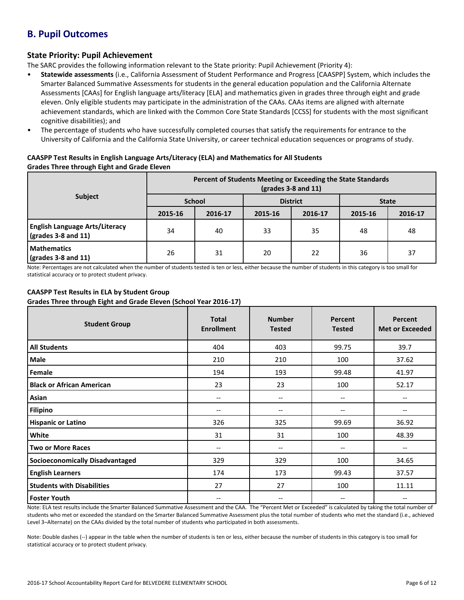# **B. Pupil Outcomes**

### **State Priority: Pupil Achievement**

The SARC provides the following information relevant to the State priority: Pupil Achievement (Priority 4):

- **Statewide assessments** (i.e., California Assessment of Student Performance and Progress [CAASPP] System, which includes the Smarter Balanced Summative Assessments for students in the general education population and the California Alternate Assessments [CAAs] for English language arts/literacy [ELA] and mathematics given in grades three through eight and grade eleven. Only eligible students may participate in the administration of the CAAs. CAAs items are aligned with alternate achievement standards, which are linked with the Common Core State Standards [CCSS] for students with the most significant cognitive disabilities); and
- The percentage of students who have successfully completed courses that satisfy the requirements for entrance to the University of California and the California State University, or career technical education sequences or programs of study.

#### **CAASPP Test Results in English Language Arts/Literacy (ELA) and Mathematics for All Students Grades Three through Eight and Grade Eleven**

|                                                                      | Percent of Students Meeting or Exceeding the State Standards<br>$\left(\text{grades }3 - 8 \text{ and } 11\right)$ |         |                 |         |              |         |  |
|----------------------------------------------------------------------|--------------------------------------------------------------------------------------------------------------------|---------|-----------------|---------|--------------|---------|--|
| <b>Subject</b>                                                       | <b>School</b>                                                                                                      |         | <b>District</b> |         | <b>State</b> |         |  |
|                                                                      | 2015-16                                                                                                            | 2016-17 | 2015-16         | 2016-17 | 2015-16      | 2016-17 |  |
| <b>English Language Arts/Literacy</b><br>$\sqrt{grades}$ 3-8 and 11) | 34                                                                                                                 | 40      | 33              | 35      | 48           | 48      |  |
| <b>Mathematics</b><br>$\sqrt{grades}$ 3-8 and 11)                    | 26                                                                                                                 | 31      | 20              | 22      | 36           | 37      |  |

Note: Percentages are not calculated when the number of students tested is ten or less, either because the number of students in this category is too small for statistical accuracy or to protect student privacy.

### **CAASPP Test Results in ELA by Student Group**

**Grades Three through Eight and Grade Eleven (School Year 2016-17)**

| <b>Student Group</b>                   | <b>Total</b><br><b>Enrollment</b> | <b>Number</b><br><b>Tested</b>        | Percent<br><b>Tested</b> | <b>Percent</b><br><b>Met or Exceeded</b> |
|----------------------------------------|-----------------------------------|---------------------------------------|--------------------------|------------------------------------------|
| <b>All Students</b>                    | 404                               | 403                                   | 99.75                    | 39.7                                     |
| <b>Male</b>                            | 210                               | 210                                   | 100                      | 37.62                                    |
| Female                                 | 194                               | 193                                   | 99.48                    | 41.97                                    |
| <b>Black or African American</b>       | 23                                | 23                                    | 100                      | 52.17                                    |
| Asian                                  | --                                | $\hspace{0.05cm} \textbf{--}$         | --                       | --                                       |
| <b>Filipino</b>                        | --                                | $\hspace{0.05cm} \textbf{--}$         | --                       | --                                       |
| <b>Hispanic or Latino</b>              | 326                               | 325                                   | 99.69                    | 36.92                                    |
| White                                  | 31                                | 31                                    | 100                      | 48.39                                    |
| <b>Two or More Races</b>               | --                                | $\hspace{0.05cm}$ – $\hspace{0.05cm}$ | --                       | --                                       |
| <b>Socioeconomically Disadvantaged</b> | 329                               | 329                                   | 100                      | 34.65                                    |
| <b>English Learners</b>                | 174                               | 173                                   | 99.43                    | 37.57                                    |
| <b>Students with Disabilities</b>      | 27                                | 27                                    | 100                      | 11.11                                    |
| <b>Foster Youth</b>                    | --                                | $\hspace{0.05cm} \textbf{--}$         | --                       | --                                       |

Note: ELA test results include the Smarter Balanced Summative Assessment and the CAA. The "Percent Met or Exceeded" is calculated by taking the total number of students who met or exceeded the standard on the Smarter Balanced Summative Assessment plus the total number of students who met the standard (i.e., achieved Level 3–Alternate) on the CAAs divided by the total number of students who participated in both assessments.

Note: Double dashes (--) appear in the table when the number of students is ten or less, either because the number of students in this category is too small for statistical accuracy or to protect student privacy.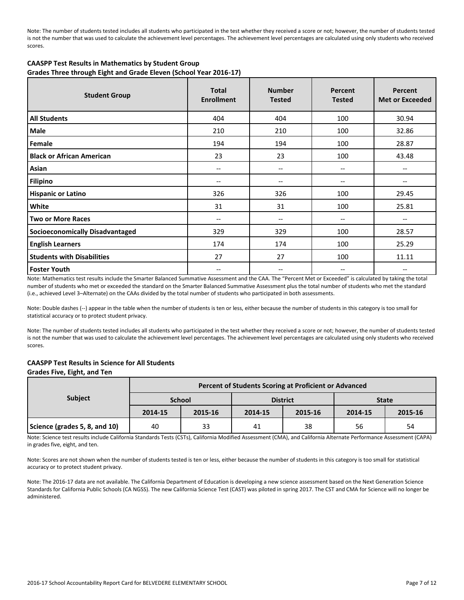Note: The number of students tested includes all students who participated in the test whether they received a score or not; however, the number of students tested is not the number that was used to calculate the achievement level percentages. The achievement level percentages are calculated using only students who received scores.

#### **CAASPP Test Results in Mathematics by Student Group Grades Three through Eight and Grade Eleven (School Year 2016-17)**

| <b>Student Group</b>                   | <b>Total</b><br><b>Enrollment</b> | <b>Number</b><br><b>Tested</b> | Percent<br><b>Tested</b> | Percent<br><b>Met or Exceeded</b> |
|----------------------------------------|-----------------------------------|--------------------------------|--------------------------|-----------------------------------|
| <b>All Students</b>                    | 404                               | 404                            | 100                      | 30.94                             |
| Male                                   | 210                               | 210                            | 100                      | 32.86                             |
| Female                                 | 194                               | 194                            | 100                      | 28.87                             |
| <b>Black or African American</b>       | 23                                | 23                             | 100                      | 43.48                             |
| Asian                                  | $-$                               | --                             | --                       | --                                |
| <b>Filipino</b>                        | --                                | --                             | --                       | --                                |
| <b>Hispanic or Latino</b>              | 326                               | 326                            | 100                      | 29.45                             |
| White                                  | 31                                | 31                             | 100                      | 25.81                             |
| <b>Two or More Races</b>               | $-$                               | --                             | --                       | $-$                               |
| <b>Socioeconomically Disadvantaged</b> | 329                               | 329                            | 100                      | 28.57                             |
| <b>English Learners</b>                | 174                               | 174                            | 100                      | 25.29                             |
| <b>Students with Disabilities</b>      | 27                                | 27                             | 100                      | 11.11                             |
| <b>Foster Youth</b>                    | --                                | --                             | --                       | $\overline{\phantom{m}}$          |

Note: Mathematics test results include the Smarter Balanced Summative Assessment and the CAA. The "Percent Met or Exceeded" is calculated by taking the total number of students who met or exceeded the standard on the Smarter Balanced Summative Assessment plus the total number of students who met the standard (i.e., achieved Level 3–Alternate) on the CAAs divided by the total number of students who participated in both assessments.

Note: Double dashes (--) appear in the table when the number of students is ten or less, either because the number of students in this category is too small for statistical accuracy or to protect student privacy.

Note: The number of students tested includes all students who participated in the test whether they received a score or not; however, the number of students tested is not the number that was used to calculate the achievement level percentages. The achievement level percentages are calculated using only students who received scores.

# **CAASPP Test Results in Science for All Students**

#### **Grades Five, Eight, and Ten**

| <b>Subject</b>                | Percent of Students Scoring at Proficient or Advanced |         |         |                 |              |         |  |  |
|-------------------------------|-------------------------------------------------------|---------|---------|-----------------|--------------|---------|--|--|
|                               | <b>School</b>                                         |         |         | <b>District</b> | <b>State</b> |         |  |  |
|                               | 2014-15                                               | 2015-16 | 2014-15 | 2015-16         | 2014-15      | 2015-16 |  |  |
| Science (grades 5, 8, and 10) | 40                                                    | 33      | 41      | 38              | 56           | 54      |  |  |

Note: Science test results include California Standards Tests (CSTs), California Modified Assessment (CMA), and California Alternate Performance Assessment (CAPA) in grades five, eight, and ten.

Note: Scores are not shown when the number of students tested is ten or less, either because the number of students in this category is too small for statistical accuracy or to protect student privacy.

Note: The 2016-17 data are not available. The California Department of Education is developing a new science assessment based on the Next Generation Science Standards for California Public Schools (CA NGSS). The new California Science Test (CAST) was piloted in spring 2017. The CST and CMA for Science will no longer be administered.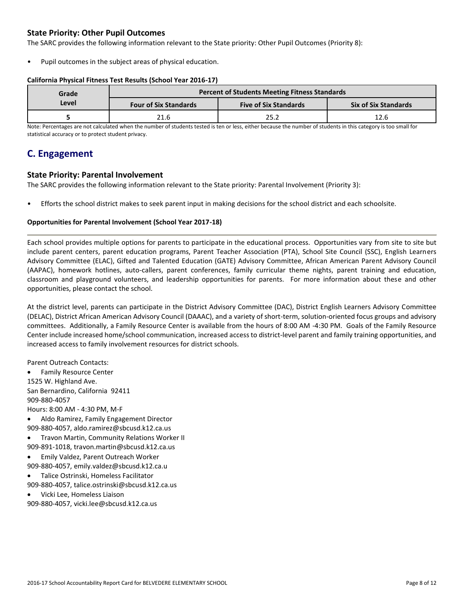### **State Priority: Other Pupil Outcomes**

The SARC provides the following information relevant to the State priority: Other Pupil Outcomes (Priority 8):

Pupil outcomes in the subject areas of physical education.

#### **California Physical Fitness Test Results (School Year 2016-17)**

| Grade |                              | <b>Percent of Students Meeting Fitness Standards</b> |                             |  |  |  |
|-------|------------------------------|------------------------------------------------------|-----------------------------|--|--|--|
| Level | <b>Four of Six Standards</b> | <b>Five of Six Standards</b>                         | <b>Six of Six Standards</b> |  |  |  |
|       | 21.6                         | 25.2                                                 | 12.6                        |  |  |  |

Note: Percentages are not calculated when the number of students tested is ten or less, either because the number of students in this category is too small for statistical accuracy or to protect student privacy.

## **C. Engagement**

#### **State Priority: Parental Involvement**

The SARC provides the following information relevant to the State priority: Parental Involvement (Priority 3):

• Efforts the school district makes to seek parent input in making decisions for the school district and each schoolsite.

#### **Opportunities for Parental Involvement (School Year 2017-18)**

Each school provides multiple options for parents to participate in the educational process. Opportunities vary from site to site but include parent centers, parent education programs, Parent Teacher Association (PTA), School Site Council (SSC), English Learners Advisory Committee (ELAC), Gifted and Talented Education (GATE) Advisory Committee, African American Parent Advisory Council (AAPAC), homework hotlines, auto-callers, parent conferences, family curricular theme nights, parent training and education, classroom and playground volunteers, and leadership opportunities for parents. For more information about these and other opportunities, please contact the school.

At the district level, parents can participate in the District Advisory Committee (DAC), District English Learners Advisory Committee (DELAC), District African American Advisory Council (DAAAC), and a variety of short-term, solution-oriented focus groups and advisory committees. Additionally, a Family Resource Center is available from the hours of 8:00 AM -4:30 PM. Goals of the Family Resource Center include increased home/school communication, increased access to district-level parent and family training opportunities, and increased access to family involvement resources for district schools.

Parent Outreach Contacts:

 Family Resource Center 1525 W. Highland Ave. San Bernardino, California 92411 909-880-4057 Hours: 8:00 AM - 4:30 PM, M-F

- Aldo Ramirez, Family Engagement Director 909-880-4057, aldo.ramirez@sbcusd.k12.ca.us
- Travon Martin, Community Relations Worker II
- 909-891-1018, travon.martin@sbcusd.k12.ca.us
- Emily Valdez, Parent Outreach Worker 909-880-4057, emily.valdez@sbcusd.k12.ca.u
- Talice Ostrinski, Homeless Facilitator 909-880-4057, talice.ostrinski@sbcusd.k12.ca.us
- Vicki Lee, Homeless Liaison

909-880-4057, vicki.lee@sbcusd.k12.ca.us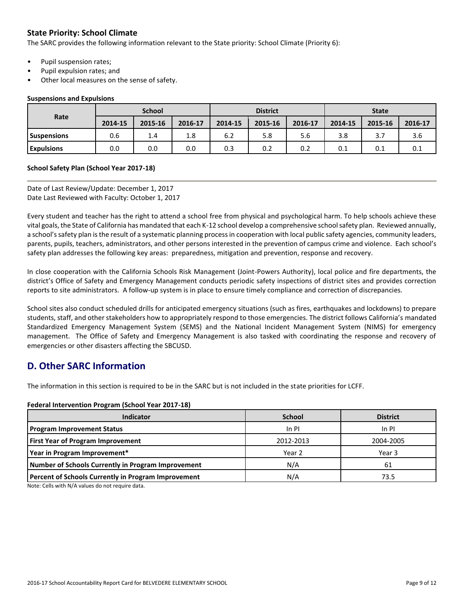### **State Priority: School Climate**

The SARC provides the following information relevant to the State priority: School Climate (Priority 6):

- Pupil suspension rates;
- Pupil expulsion rates; and
- Other local measures on the sense of safety.

#### **Suspensions and Expulsions**

|                    | <b>School</b> |         |         | <b>District</b> |         |         | <b>State</b> |         |         |
|--------------------|---------------|---------|---------|-----------------|---------|---------|--------------|---------|---------|
| Rate               | 2014-15       | 2015-16 | 2016-17 | 2014-15         | 2015-16 | 2016-17 | 2014-15      | 2015-16 | 2016-17 |
| <b>Suspensions</b> | 0.6           | 1.4     | 1.8     | 6.2             | 5.8     | 5.6     | 3.8          | 3.7     | 3.6     |
| <b>Expulsions</b>  | 0.0           | 0.0     | 0.0     | 0.3             | 0.2     | 0.2     | 0.1          | 0.1     | 0.1     |

#### **School Safety Plan (School Year 2017-18)**

Date of Last Review/Update: December 1, 2017 Date Last Reviewed with Faculty: October 1, 2017

Every student and teacher has the right to attend a school free from physical and psychological harm. To help schools achieve these vital goals, the State of California has mandated that each K-12 school develop a comprehensive school safety plan. Reviewed annually, a school's safety plan is the result of a systematic planning process in cooperation with local public safety agencies, community leaders, parents, pupils, teachers, administrators, and other persons interested in the prevention of campus crime and violence. Each school's safety plan addresses the following key areas: preparedness, mitigation and prevention, response and recovery.

In close cooperation with the California Schools Risk Management (Joint-Powers Authority), local police and fire departments, the district's Office of Safety and Emergency Management conducts periodic safety inspections of district sites and provides correction reports to site administrators. A follow-up system is in place to ensure timely compliance and correction of discrepancies.

School sites also conduct scheduled drills for anticipated emergency situations (such as fires, earthquakes and lockdowns) to prepare students, staff, and other stakeholders how to appropriately respond to those emergencies. The district follows California's mandated Standardized Emergency Management System (SEMS) and the National Incident Management System (NIMS) for emergency management. The Office of Safety and Emergency Management is also tasked with coordinating the response and recovery of emergencies or other disasters affecting the SBCUSD.

# **D. Other SARC Information**

The information in this section is required to be in the SARC but is not included in the state priorities for LCFF.

#### **Federal Intervention Program (School Year 2017-18)**

| <b>Indicator</b>                                    | <b>School</b>     | <b>District</b> |
|-----------------------------------------------------|-------------------|-----------------|
| <b>Program Improvement Status</b>                   | In PI             | In PI           |
| <b>First Year of Program Improvement</b>            | 2012-2013         | 2004-2005       |
| Year in Program Improvement*                        | Year <sub>2</sub> | Year 3          |
| Number of Schools Currently in Program Improvement  | N/A               | 61              |
| Percent of Schools Currently in Program Improvement | N/A               | 73.5            |

Note: Cells with N/A values do not require data.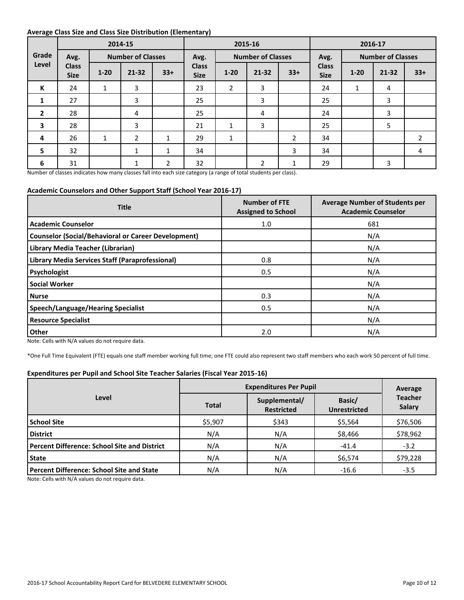#### **Average Class Size and Class Size Distribution (Elementary)**

|                |                             |              | 2014-15                  |              | 2015-16                     |                          |           |                |                             | 2016-17                  |           |                |  |
|----------------|-----------------------------|--------------|--------------------------|--------------|-----------------------------|--------------------------|-----------|----------------|-----------------------------|--------------------------|-----------|----------------|--|
| Grade          | Avg.                        |              | <b>Number of Classes</b> |              | Avg.                        | <b>Number of Classes</b> |           | Avg.           |                             | <b>Number of Classes</b> |           |                |  |
| Level          | <b>Class</b><br><b>Size</b> | $1 - 20$     | $21 - 32$                | $33+$        | <b>Class</b><br><b>Size</b> | $1 - 20$                 | $21 - 32$ | $33+$          | <b>Class</b><br><b>Size</b> | $1 - 20$                 | $21 - 32$ | $33+$          |  |
| К              | 24                          | 1            | 3                        |              | 23                          | $\overline{2}$           | 3         |                | 24                          | 1                        | 4         |                |  |
| $\mathbf{1}$   | 27                          |              | 3                        |              | 25                          |                          | 3         |                | 25                          |                          | 3         |                |  |
| $\overline{2}$ | 28                          |              | 4                        |              | 25                          |                          | 4         |                | 24                          |                          | 3         |                |  |
| 3              | 28                          |              | 3                        |              | 21                          | 1                        | 3         |                | 25                          |                          | 5         |                |  |
| 4              | 26                          | $\mathbf{1}$ | 2                        | $\mathbf{1}$ | 29                          | $\mathbf{1}$             |           | $\overline{2}$ | 34                          |                          |           | $\overline{2}$ |  |
| 5              | 32                          |              | $\mathbf{1}$             | $\mathbf{1}$ | 34                          |                          |           | 3              | 34                          |                          |           | 4              |  |
| 6              | 31                          |              | 1                        | 2            | 32                          |                          | 2         | 1              | 29                          |                          | 3         |                |  |

Number of classes indicates how many classes fall into each size category (a range of total students per class).

#### **Academic Counselors and Other Support Staff (School Year 2016-17)**

| <b>Title</b>                                               | <b>Number of FTE</b><br><b>Assigned to School</b> | <b>Average Number of Students per</b><br><b>Academic Counselor</b> |  |  |
|------------------------------------------------------------|---------------------------------------------------|--------------------------------------------------------------------|--|--|
| <b>Academic Counselor</b>                                  | 1.0                                               | 681                                                                |  |  |
| <b>Counselor (Social/Behavioral or Career Development)</b> |                                                   | N/A                                                                |  |  |
| Library Media Teacher (Librarian)                          |                                                   | N/A                                                                |  |  |
| Library Media Services Staff (Paraprofessional)            | 0.8                                               | N/A                                                                |  |  |
| Psychologist                                               | 0.5                                               | N/A                                                                |  |  |
| <b>Social Worker</b>                                       |                                                   | N/A                                                                |  |  |
| <b>Nurse</b>                                               | 0.3                                               | N/A                                                                |  |  |
| Speech/Language/Hearing Specialist                         | 0.5                                               | N/A                                                                |  |  |
| <b>Resource Specialist</b>                                 |                                                   | N/A                                                                |  |  |
| Other                                                      | 2.0                                               | N/A                                                                |  |  |

Note: Cells with N/A values do not require data.

\*One Full Time Equivalent (FTE) equals one staff member working full time; one FTE could also represent two staff members who each work 50 percent of full time.

#### **Expenditures per Pupil and School Site Teacher Salaries (Fiscal Year 2015-16)**

|                                                     | <b>Expenditures Per Pupil</b> | Average                            |                               |                          |  |
|-----------------------------------------------------|-------------------------------|------------------------------------|-------------------------------|--------------------------|--|
| Level                                               | <b>Total</b>                  | Supplemental/<br><b>Restricted</b> | Basic/<br><b>Unrestricted</b> | <b>Teacher</b><br>Salary |  |
| <b>School Site</b>                                  | \$5,907                       | \$343                              | \$5,564                       | \$76,506                 |  |
| <b>District</b>                                     | N/A                           | N/A                                | \$8,466                       | \$78,962                 |  |
| <b>Percent Difference: School Site and District</b> | N/A                           | N/A                                | $-41.4$                       | $-3.2$                   |  |
| <b>State</b>                                        | N/A                           | N/A                                | \$6,574                       | \$79,228                 |  |
| <b>Percent Difference: School Site and State</b>    | N/A                           | N/A                                | $-16.6$                       | $-3.5$                   |  |

Note: Cells with N/A values do not require data.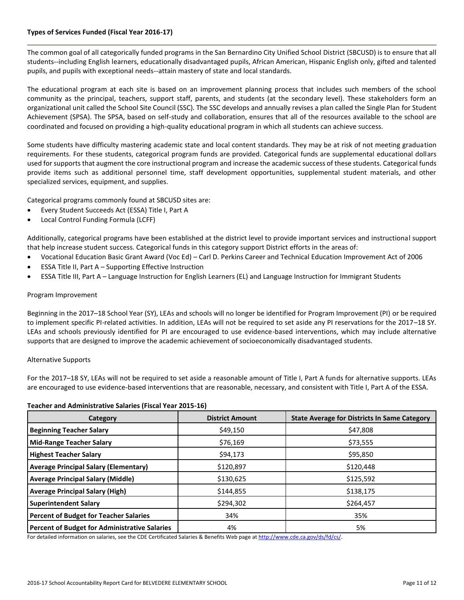#### **Types of Services Funded (Fiscal Year 2016-17)**

The common goal of all categorically funded programs in the San Bernardino City Unified School District (SBCUSD) is to ensure that all students--including English learners, educationally disadvantaged pupils, African American, Hispanic English only, gifted and talented pupils, and pupils with exceptional needs--attain mastery of state and local standards.

The educational program at each site is based on an improvement planning process that includes such members of the school community as the principal, teachers, support staff, parents, and students (at the secondary level). These stakeholders form an organizational unit called the School Site Council (SSC). The SSC develops and annually revises a plan called the Single Plan for Student Achievement (SPSA). The SPSA, based on self-study and collaboration, ensures that all of the resources available to the school are coordinated and focused on providing a high-quality educational program in which all students can achieve success.

Some students have difficulty mastering academic state and local content standards. They may be at risk of not meeting graduation requirements. For these students, categorical program funds are provided. Categorical funds are supplemental educational dollars used for supports that augment the core instructional program and increase the academic success of these students. Categorical funds provide items such as additional personnel time, staff development opportunities, supplemental student materials, and other specialized services, equipment, and supplies.

Categorical programs commonly found at SBCUSD sites are:

- Every Student Succeeds Act (ESSA) Title I, Part A
- Local Control Funding Formula (LCFF)

Additionally, categorical programs have been established at the district level to provide important services and instructional support that help increase student success. Categorical funds in this category support District efforts in the areas of:

- Vocational Education Basic Grant Award (Voc Ed) Carl D. Perkins Career and Technical Education Improvement Act of 2006
- ESSA Title II, Part A Supporting Effective Instruction
- ESSA Title III, Part A Language Instruction for English Learners (EL) and Language Instruction for Immigrant Students

#### Program Improvement

Beginning in the 2017–18 School Year (SY), LEAs and schools will no longer be identified for Program Improvement (PI) or be required to implement specific PI-related activities. In addition, LEAs will not be required to set aside any PI reservations for the 2017–18 SY. LEAs and schools previously identified for PI are encouraged to use evidence-based interventions, which may include alternative supports that are designed to improve the academic achievement of socioeconomically disadvantaged students.

#### Alternative Supports

For the 2017–18 SY, LEAs will not be required to set aside a reasonable amount of Title I, Part A funds for alternative supports. LEAs are encouraged to use evidence-based interventions that are reasonable, necessary, and consistent with Title I, Part A of the ESSA.

#### **Teacher and Administrative Salaries (Fiscal Year 2015-16)**

| Category                                      | <b>District Amount</b> | <b>State Average for Districts In Same Category</b> |
|-----------------------------------------------|------------------------|-----------------------------------------------------|
| <b>Beginning Teacher Salary</b>               | \$49,150               | \$47,808                                            |
| <b>Mid-Range Teacher Salary</b>               | \$76,169               | \$73,555                                            |
| <b>Highest Teacher Salary</b>                 | \$94,173               | \$95,850                                            |
| <b>Average Principal Salary (Elementary)</b>  | \$120,897              | \$120,448                                           |
| <b>Average Principal Salary (Middle)</b>      | \$130,625              | \$125,592                                           |
| <b>Average Principal Salary (High)</b>        | \$144,855              | \$138,175                                           |
| <b>Superintendent Salary</b>                  | \$294,302              | \$264,457                                           |
| <b>Percent of Budget for Teacher Salaries</b> | 34%                    | 35%                                                 |
| Percent of Budget for Administrative Salaries | 4%                     | 5%                                                  |

For detailed information on salaries, see the CDE Certificated Salaries & Benefits Web page a[t http://www.cde.ca.gov/ds/fd/cs/.](http://www.cde.ca.gov/ds/fd/cs/)